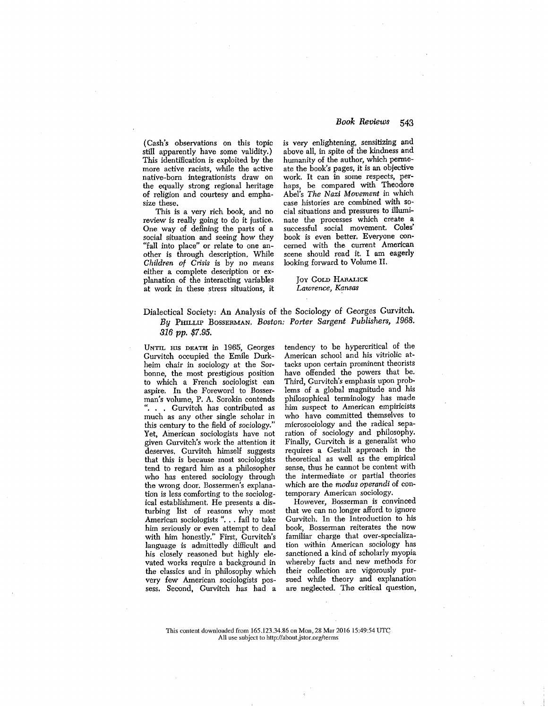(Cash's observations on this topic still apparently have some validity.) This identification is exploited by the more active racists, while the active native-born integrationists draw on the equally strong regional heritage of religion and courtesy and empha-

size these. This is a very rich book, and no review is really going to do it justice. One way of defining the parts of a social situation and seeing how they "fall into place" or relate to one another is through description. While *Children of Crisis is by no means* either a complete description or explanation of the interacting variables at work in these stress situations, it

## *Book Reviews 543*

is very enlightening, sensitizing and above all, in spite of the kindness and humanity of the author, which permeate the book's pages, it is an objective work. It can in some respects, perhaps, be compared with Theodore *Abel's The Nazi Movement in which* case histories are combined with social situations and pressures to illuminate the processes which create a successful social movement. Coles' book is even better. Everyone concerned with the current American scene should read it. I am eagerly looking forward to Volume II.

### Joy COLD HARALICK *Lawrence, Kansas*

# Dialectical Society: An Analysis of the Sociology of Georges Gurvitch. *By PHILLIP BOSSERMAN, Boston: Porter Sargent Publishers, 1968, 816 pp. \$7.95.*

UNTIL MS DEATH in 1965, Georges Gurvitch occupied the Emile Durkheim chair in sociology at the Sorbonne, the most prestigious position to which a French sociologist can aspire. In the Foreword to Bosserman's volume, P. A. Sorokin contends ". . . Gurvitch has contributed as much as any other single scholar in this century to the field of sociology." Yet, American sociologists have not given Gurvitch's work the attention it deserves. Gurvitch himself suggests that this is because most sociologists tend to regard him as a philosopher who has entered sociology through the wrong door. Bossermen's explanation is less comforting to the sociological establishment. He presents a disturbing list of reasons why most American sociologists ". . . fail to take him seriously or even attempt to deal with him honestly." First, Gurvitch's language is admittedly difficult and his closely reasoned but highly elevated works require a background in the classics and in philosophy which very few American sociologists possess. Second, Gurvitch has had a

tendency to be hypercritical of the American school and his vitriolic attacks upon certain prominent theorists have offended the powers that be. Third, Gurvitch's emphasis upon problems of a global magnitude and his philosophical terminology has made him suspect to American empiricists who have committed themselves to microsociology and the radical separation of sociology and philosophy. Finally, Gurvitch is a generalist who requires a Gestalt approach in the theoretical as well as the empirical sense, thus he cannot be content with the intermediate or partial theories which are the *modus operandi* of contemporary American sociology.

However, Bosserman is convinced that we can no longer afford to ignore Gurvitch In the Introduction to his book, Bosserman reiterates the now familiar charge that over-specialization within American sociology has sanctioned a kind of scholarly myopia whereby facts and new methods for their collection are vigorously pursued while theory and explanation are neglected. The critical question,

#### This content downloaded from 165,123.34,86 on Mon, 28 Mar 2016 15:49:54 UTC All use subject to http://about.jstor.org/terms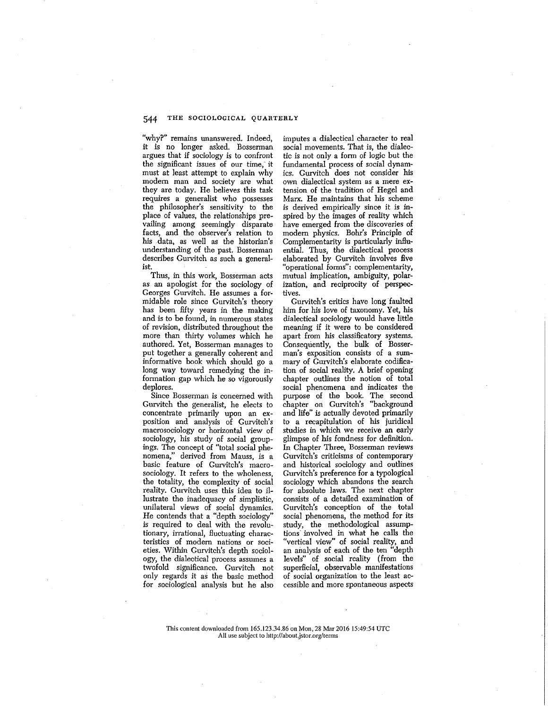# 544 THE SOCIOLOGICAL QUARTERLY

"why?" remains unanswered. Indeed, it is no longer asked. Bossennan argues that if sociology is to confront the significant issues of our time, it must at least attempt to explain why modem man and society are what they are today. He believes this task requires a generalist who possesses the philosopher's sensitivity to the place of values, the relationships prevailing among seemingly disparate facts, and the observer's relation to his data, as well as the historian's understanding of the past. Bosserman describes Gurvitch as such a general- ist.

Thus, in this work, Bosserman acts as an apologist for the sociology of Georges Gurvitch. He assumes a formidable role since Gurvitch's theory has been fifty years in the making and is to be found, in numerous states of revision, distributed throughout the more than thirty volumes which he authored. Yet, Bosserman manages to put together a generally coherent and informative book which should go a long way toward remedying the information gap which he so vigorously deplores.

Since Bosserman is concerned with Gurvitch the generalist, he elects to concentrate primarily upon an exposition and analysis of Gurvitch's macrosociology or horizontal view of sociology, his study of social groupings. The concept of "total social phenomena," derived from Mauss, is a basic feature of Gurvitch's macrosociology. It refers to the wholeness, the totality, the complexity of social reality. Gurvitch uses this idea to illustrate the inadequacy of simplistic, unilateral views of social dynamics. He contends that a "depth sociology" is required to deal with the revolutionary, irrational, fluctuating characteristics of modem nations or societies. Within Gurvitch's depth sociology, the dialectical process assumes a twofold significance. Gurvitch not only regards it as the basic method for sociological analysis but he also

imputes a dialectical character to real social movements. That is, the dialectic is not only a form of logic but the fundamental process of social dynamics. Gurvitch does not consider his own dialectical system as a mere extension of the tradition of Hegel and Marx. He maintains that his scheme is derived empirically since it is inspired by the images of reality which have emerged from the discoveries of modem physics. Bohr's Principle of Complementarity is particularly influential. Thus, the dialectical process elaborated by Gurvitch involves five "operational forms": complementarity, mutual implication, ambiguity, polarization, and reciprocity of perspectives.

Gurvitch's critics have long faulted him for his love of taxonomy. Yet, his dialectical sociology would have little meaning if it were to be considered apart from his classificatory systems. Consequently, the bulk of Bosserman's exposition consists of a summary of Gurvitch's elaborate codification of social reality. A brief opening chapter outlines the notion of total social phenomena and indicates the purpose of the book. The second chapter on Gurvitch's "background and life" is actually devoted primarily to a recapitulation of his juridical studies in which we receive an early glimpse of his fondness for definition. In Chapter Three, Bosserman reviews Gurvitch's criticisms of contemporary and historical sociology and outlines Gurvitch's preference for a typological sociology which abandons the search for absolute laws. The next chapter consists of a detailed examination of Gurvitch's conception of the total social phenomena, the method for its study, the methodological assumptions involved in what he calls the "vertical view" of social reality, and an analysis of each of the ten "depth levels" of social reality (from the superficial, observable manifestations of social organization to the least accessible and more spontaneous aspects

This content downloaded from 165.123.34.86 on Mon, 28 Mar 2016 15:49:54 UTC All use subject to http://about.jstor.org/terms